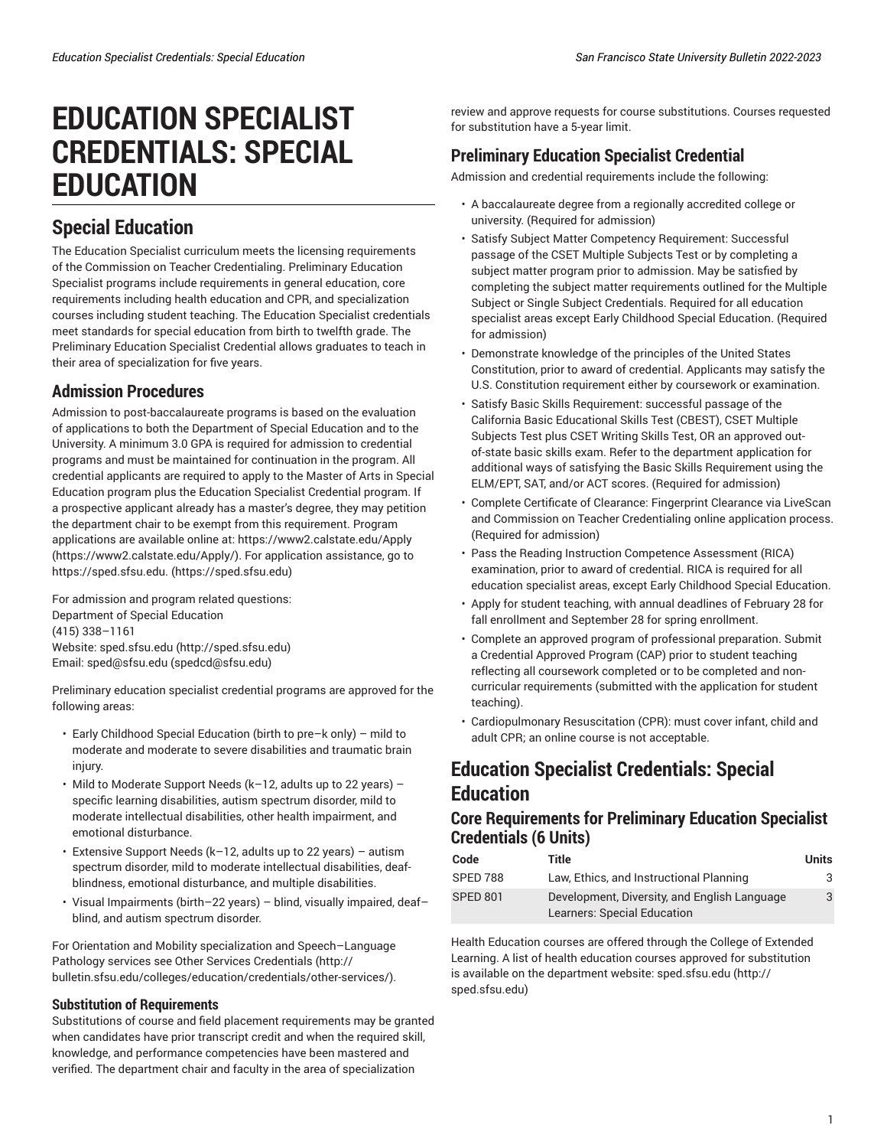# **EDUCATION SPECIALIST CREDENTIALS: SPECIAL EDUCATION**

## **Special Education**

The Education Specialist curriculum meets the licensing requirements of the Commission on Teacher Credentialing. Preliminary Education Specialist programs include requirements in general education, core requirements including health education and CPR, and specialization courses including student teaching. The Education Specialist credentials meet standards for special education from birth to twelfth grade. The Preliminary Education Specialist Credential allows graduates to teach in their area of specialization for five years.

#### **Admission Procedures**

Admission to post-baccalaureate programs is based on the evaluation of applications to both the Department of Special Education and to the University. A minimum 3.0 GPA is required for admission to credential programs and must be maintained for continuation in the program. All credential applicants are required to apply to the Master of Arts in Special Education program plus the Education Specialist Credential program. If a prospective applicant already has a master's degree, they may petition the department chair to be exempt from this requirement. Program applications are available online at: [https://www2.calstate.edu/Apply](https://www2.calstate.edu/Apply/) (<https://www2.calstate.edu/Apply/>). For application assistance, go to [https://sped.sfsu.edu.](https://sped.sfsu.edu) (<https://sped.sfsu.edu>)

For admission and program related questions: Department of Special Education (415) 338–1161 Website: [sped.sfsu.edu \(http://sped.sfsu.edu](http://sped.sfsu.edu)) Email: [sped@sfsu.edu](mailto:spedcd@sfsu.edu) [\(spedcd@sfsu.edu\)](spedcd@sfsu.edu)

Preliminary education specialist credential programs are approved for the following areas:

- Early Childhood Special Education (birth to pre–k only) mild to moderate and moderate to severe disabilities and traumatic brain injury.
- Mild to Moderate Support Needs (k–12, adults up to 22 years) specific learning disabilities, autism spectrum disorder, mild to moderate intellectual disabilities, other health impairment, and emotional disturbance.
- Extensive Support Needs (k–12, adults up to 22 years) autism spectrum disorder, mild to moderate intellectual disabilities, deafblindness, emotional disturbance, and multiple disabilities.
- Visual Impairments (birth–22 years) blind, visually impaired, deaf– blind, and autism spectrum disorder.

For Orientation and Mobility specialization and Speech–Language Pathology services see Other Services [Credentials \(http://](http://bulletin.sfsu.edu/colleges/education/credentials/other-services/) [bulletin.sfsu.edu/colleges/education/credentials/other-services/\)](http://bulletin.sfsu.edu/colleges/education/credentials/other-services/).

#### **Substitution of Requirements**

Substitutions of course and field placement requirements may be granted when candidates have prior transcript credit and when the required skill, knowledge, and performance competencies have been mastered and verified. The department chair and faculty in the area of specialization

review and approve requests for course substitutions. Courses requested for substitution have a 5-year limit.

### **Preliminary Education Specialist Credential**

Admission and credential requirements include the following:

- A baccalaureate degree from a regionally accredited college or university. (Required for admission)
- Satisfy Subject Matter Competency Requirement: Successful passage of the CSET Multiple Subjects Test or by completing a subject matter program prior to admission. May be satisfied by completing the subject matter requirements outlined for the Multiple Subject or Single Subject Credentials. Required for all education specialist areas except Early Childhood Special Education. (Required for admission)
- Demonstrate knowledge of the principles of the United States Constitution, prior to award of credential. Applicants may satisfy the U.S. Constitution requirement either by coursework or examination.
- Satisfy Basic Skills Requirement: successful passage of the California Basic Educational Skills Test (CBEST), CSET Multiple Subjects Test plus CSET Writing Skills Test, OR an approved outof-state basic skills exam. Refer to the department application for additional ways of satisfying the Basic Skills Requirement using the ELM/EPT, SAT, and/or ACT scores. (Required for admission)
- Complete Certificate of Clearance: Fingerprint Clearance via LiveScan and Commission on Teacher Credentialing online application process. (Required for admission)
- Pass the Reading Instruction Competence Assessment (RICA) examination, prior to award of credential. RICA is required for all education specialist areas, except Early Childhood Special Education.
- Apply for student teaching, with annual deadlines of February 28 for fall enrollment and September 28 for spring enrollment.
- Complete an approved program of professional preparation. Submit a Credential Approved Program (CAP) prior to student teaching reflecting all coursework completed or to be completed and noncurricular requirements (submitted with the application for student teaching).
- Cardiopulmonary Resuscitation (CPR): must cover infant, child and adult CPR; an online course is not acceptable.

## **Education Specialist Credentials: Special Education**

#### **Core Requirements for Preliminary Education Specialist Credentials (6 Units)**

| Code     | Title                                                                              | Units |
|----------|------------------------------------------------------------------------------------|-------|
| SPED 788 | Law, Ethics, and Instructional Planning                                            | 3     |
| SPED 801 | Development, Diversity, and English Language<br><b>Learners: Special Education</b> | 3     |

Health Education courses are offered through the College of Extended Learning. A list of health education courses approved for substitution is available on the department website: [sped.sfsu.edu](http://sped.sfsu.edu) [\(http://](http://sped.sfsu.edu) [sped.sfsu.edu](http://sped.sfsu.edu))